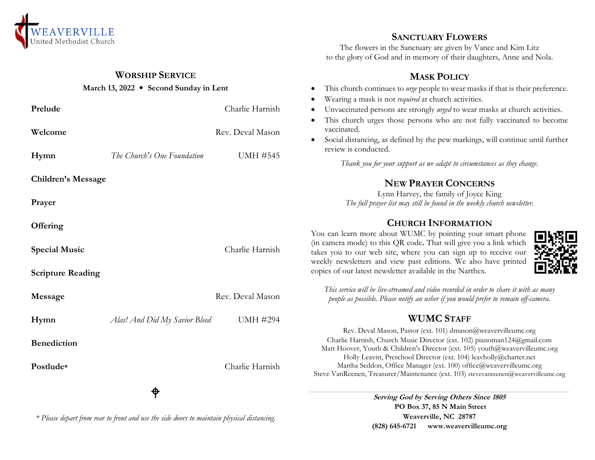

### **WORSHIP SERVICE**

#### **March 13, 2022 Second Sunday in Lent**

| Prelude                   |                               | Charlie Harnish  |  |
|---------------------------|-------------------------------|------------------|--|
| Welcome                   |                               | Rev. Deval Mason |  |
| Hymn                      | The Church's One Foundation   | <b>UMH #545</b>  |  |
| <b>Children's Message</b> |                               |                  |  |
| Prayer                    |                               |                  |  |
| Offering                  |                               |                  |  |
| <b>Special Music</b>      |                               | Charlie Harnish  |  |
| <b>Scripture Reading</b>  |                               |                  |  |
| Message                   |                               | Rev. Deval Mason |  |
| Hymn                      | Alas! And Did My Savior Bleed | <b>UMH #294</b>  |  |
| <b>Benediction</b>        |                               |                  |  |
| Postlude*                 |                               | Charlie Harnish  |  |
|                           | ⊕                             |                  |  |

*\* Please depart from rear to front and use the side doors to maintain physical distancing.*

### **SANCTUARY FLOWERS**

The flowers in the Sanctuary are given by Vance and Kim Litz to the glory of God and in memory of their daughters, Anne and Nola.

### **MASK POLICY**

- This church continues to *urge* people to wear masks if that is their preference.
- Wearing a mask is not *required* at church activities.
- Unvaccinated persons are strongly *urged* to wear masks at church activities.
- This church urges those persons who are not fully vaccinated to become vaccinated.
- Social distancing, as defined by the pew markings, will continue until further review is conducted.

*Thank you for your support as we adapt to circumstances as they change.*

# **NEW PRAYER CONCERNS**

Lynn Harvey, the family of Joyce King *The full prayer list may still be found in the weekly church newsletter.*

### **CHURCH INFORMATION**

You can learn more about WUMC by pointing your smart phone (in camera mode) to this QR code**.** That will give you a link which takes you to our web site, where you can sign up to receive our weekly newsletters and view past editions. We also have printed copies of our latest newsletter available in the Narthex.



*This service will be live-streamed and video recorded in order to share it with as many people as possible. Please notify an usher if you would prefer to remain off-camera.*

## **WUMC STAFF**

Rev. Deval Mason, Pastor (ext. 101) dmason@weavervilleumc.org Charlie Harnish, Church Music Director (ext. 102) pianoman124@gmail.com Matt Hoover, Youth & Children's Director (ext. 105) youth@weavervilleumc.org Holly Leavitt, Preschool Director (ext. 104) leavholly@charter.net Martha Seddon, Office Manager (ext. 100) office@weavervilleumc.org Steve VanReenen, Treasurer/Maintenance (ext. 103) stevevanreenen@weavervilleumc.org

> **Serving God by Serving Others Since 1805 PO Box 37, 85 N Main Street Weaverville, NC 28787 (828) 645-6721 [www.weavervilleumc.org](http://www.weavervilleumc.org/)**